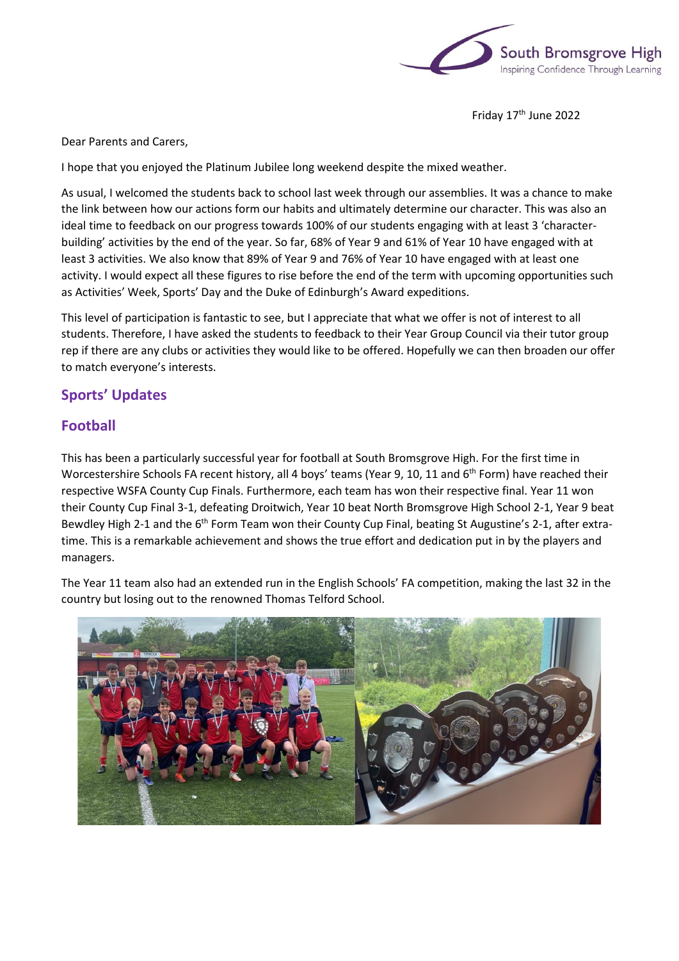

Friday 17<sup>th</sup> June 2022

Dear Parents and Carers,

I hope that you enjoyed the Platinum Jubilee long weekend despite the mixed weather.

As usual, I welcomed the students back to school last week through our assemblies. It was a chance to make the link between how our actions form our habits and ultimately determine our character. This was also an ideal time to feedback on our progress towards 100% of our students engaging with at least 3 'characterbuilding' activities by the end of the year. So far, 68% of Year 9 and 61% of Year 10 have engaged with at least 3 activities. We also know that 89% of Year 9 and 76% of Year 10 have engaged with at least one activity. I would expect all these figures to rise before the end of the term with upcoming opportunities such as Activities' Week, Sports' Day and the Duke of Edinburgh's Award expeditions.

This level of participation is fantastic to see, but I appreciate that what we offer is not of interest to all students. Therefore, I have asked the students to feedback to their Year Group Council via their tutor group rep if there are any clubs or activities they would like to be offered. Hopefully we can then broaden our offer to match everyone's interests.

# **Sports' Updates**

# **Football**

This has been a particularly successful year for football at South Bromsgrove High. For the first time in Worcestershire Schools FA recent history, all 4 boys' teams (Year 9, 10, 11 and 6<sup>th</sup> Form) have reached their respective WSFA County Cup Finals. Furthermore, each team has won their respective final. Year 11 won their County Cup Final 3-1, defeating Droitwich, Year 10 beat North Bromsgrove High School 2-1, Year 9 beat Bewdley High 2-1 and the 6<sup>th</sup> Form Team won their County Cup Final, beating St Augustine's 2-1, after extratime. This is a remarkable achievement and shows the true effort and dedication put in by the players and managers.

The Year 11 team also had an extended run in the English Schools' FA competition, making the last 32 in the country but losing out to the renowned Thomas Telford School.

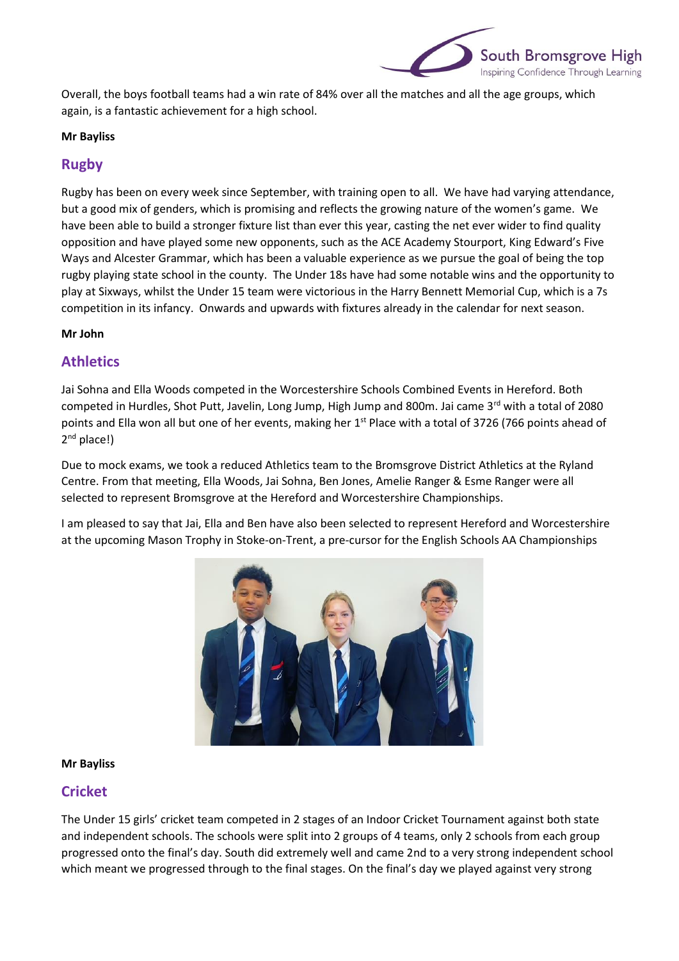

Overall, the boys football teams had a win rate of 84% over all the matches and all the age groups, which again, is a fantastic achievement for a high school.

#### **Mr Bayliss**

## **Rugby**

Rugby has been on every week since September, with training open to all. We have had varying attendance, but a good mix of genders, which is promising and reflects the growing nature of the women's game. We have been able to build a stronger fixture list than ever this year, casting the net ever wider to find quality opposition and have played some new opponents, such as the ACE Academy Stourport, King Edward's Five Ways and Alcester Grammar, which has been a valuable experience as we pursue the goal of being the top rugby playing state school in the county. The Under 18s have had some notable wins and the opportunity to play at Sixways, whilst the Under 15 team were victorious in the Harry Bennett Memorial Cup, which is a 7s competition in its infancy. Onwards and upwards with fixtures already in the calendar for next season.

#### **Mr John**

### **Athletics**

Jai Sohna and Ella Woods competed in the Worcestershire Schools Combined Events in Hereford. Both competed in Hurdles, Shot Putt, Javelin, Long Jump, High Jump and 800m. Jai came  $3<sup>rd</sup>$  with a total of 2080 points and Ella won all but one of her events, making her 1<sup>st</sup> Place with a total of 3726 (766 points ahead of 2<sup>nd</sup> place!)

Due to mock exams, we took a reduced Athletics team to the Bromsgrove District Athletics at the Ryland Centre. From that meeting, Ella Woods, Jai Sohna, Ben Jones, Amelie Ranger & Esme Ranger were all selected to represent Bromsgrove at the Hereford and Worcestershire Championships.

I am pleased to say that Jai, Ella and Ben have also been selected to represent Hereford and Worcestershire at the upcoming Mason Trophy in Stoke-on-Trent, a pre-cursor for the English Schools AA Championships



#### **Mr Bayliss**

### **Cricket**

The Under 15 girls' cricket team competed in 2 stages of an Indoor Cricket Tournament against both state and independent schools. The schools were split into 2 groups of 4 teams, only 2 schools from each group progressed onto the final's day. South did extremely well and came 2nd to a very strong independent school which meant we progressed through to the final stages. On the final's day we played against very strong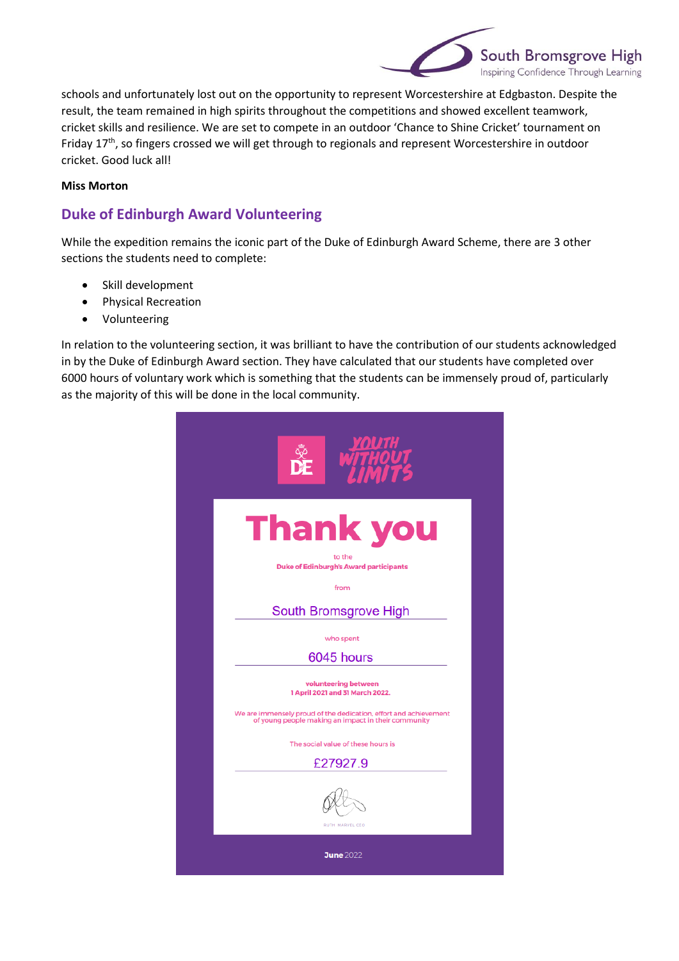

schools and unfortunately lost out on the opportunity to represent Worcestershire at Edgbaston. Despite the result, the team remained in high spirits throughout the competitions and showed excellent teamwork, cricket skills and resilience. We are set to compete in an outdoor 'Chance to Shine Cricket' tournament on Friday 17<sup>th</sup>, so fingers crossed we will get through to regionals and represent Worcestershire in outdoor cricket. Good luck all!

#### **Miss Morton**

# **Duke of Edinburgh Award Volunteering**

While the expedition remains the iconic part of the Duke of Edinburgh Award Scheme, there are 3 other sections the students need to complete:

- Skill development
- Physical Recreation
- Volunteering

In relation to the volunteering section, it was brilliant to have the contribution of our students acknowledged in by the Duke of Edinburgh Award section. They have calculated that our students have completed over 6000 hours of voluntary work which is something that the students can be immensely proud of, particularly as the majority of this will be done in the local community.

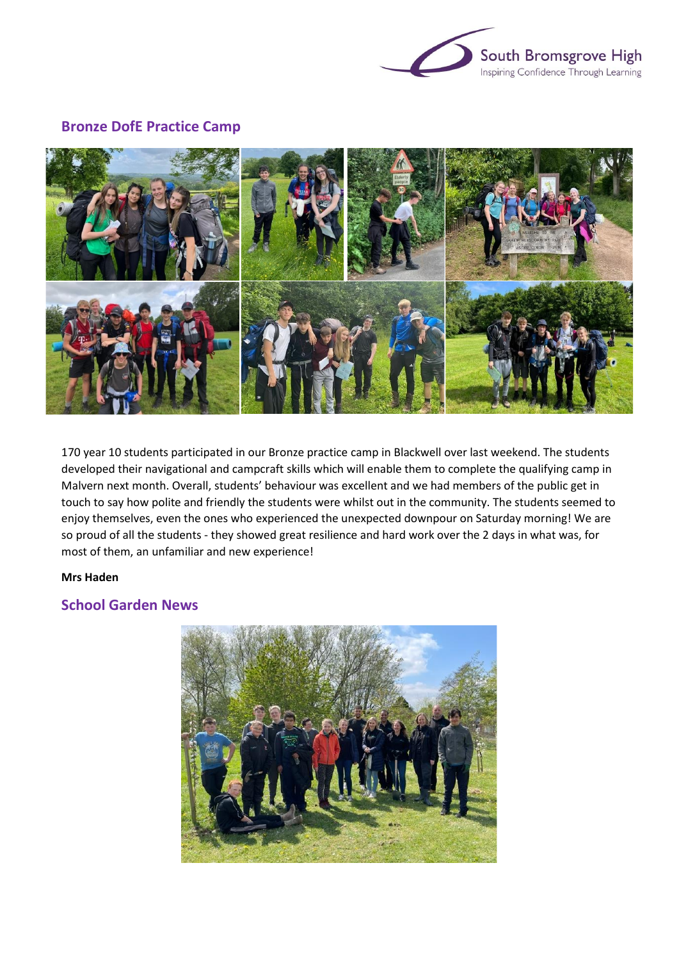

### **Bronze DofE Practice Camp**



170 year 10 students participated in our Bronze practice camp in Blackwell over last weekend. The students developed their navigational and campcraft skills which will enable them to complete the qualifying camp in Malvern next month. Overall, students' behaviour was excellent and we had members of the public get in touch to say how polite and friendly the students were whilst out in the community. The students seemed to enjoy themselves, even the ones who experienced the unexpected downpour on Saturday morning! We are so proud of all the students - they showed great resilience and hard work over the 2 days in what was, for most of them, an unfamiliar and new experience!

#### **Mrs Haden**

## **School Garden News**

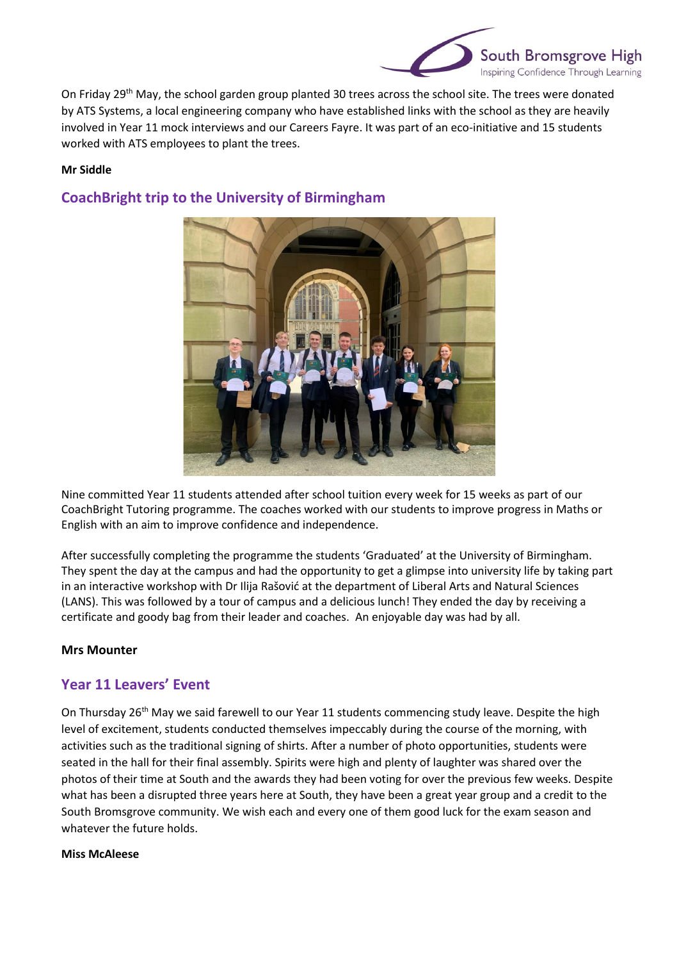

On Friday 29<sup>th</sup> May, the school garden group planted 30 trees across the school site. The trees were donated by ATS Systems, a local engineering company who have established links with the school as they are heavily involved in Year 11 mock interviews and our Careers Fayre. It was part of an eco-initiative and 15 students worked with ATS employees to plant the trees.

### **Mr Siddle**

# **CoachBright trip to the University of Birmingham**



Nine committed Year 11 students attended after school tuition every week for 15 weeks as part of our CoachBright Tutoring programme. The coaches worked with our students to improve progress in Maths or English with an aim to improve confidence and independence.

After successfully completing the programme the students 'Graduated' at the University of Birmingham. They spent the day at the campus and had the opportunity to get a glimpse into university life by taking part in an interactive workshop with Dr Ilija Rašović at the department of Liberal Arts and Natural Sciences (LANS). This was followed by a tour of campus and a delicious lunch! They ended the day by receiving a certificate and goody bag from their leader and coaches. An enjoyable day was had by all.

### **Mrs Mounter**

# **Year 11 Leavers' Event**

On Thursday 26<sup>th</sup> May we said farewell to our Year 11 students commencing study leave. Despite the high level of excitement, students conducted themselves impeccably during the course of the morning, with activities such as the traditional signing of shirts. After a number of photo opportunities, students were seated in the hall for their final assembly. Spirits were high and plenty of laughter was shared over the photos of their time at South and the awards they had been voting for over the previous few weeks. Despite what has been a disrupted three years here at South, they have been a great year group and a credit to the South Bromsgrove community. We wish each and every one of them good luck for the exam season and whatever the future holds.

#### **Miss McAleese**